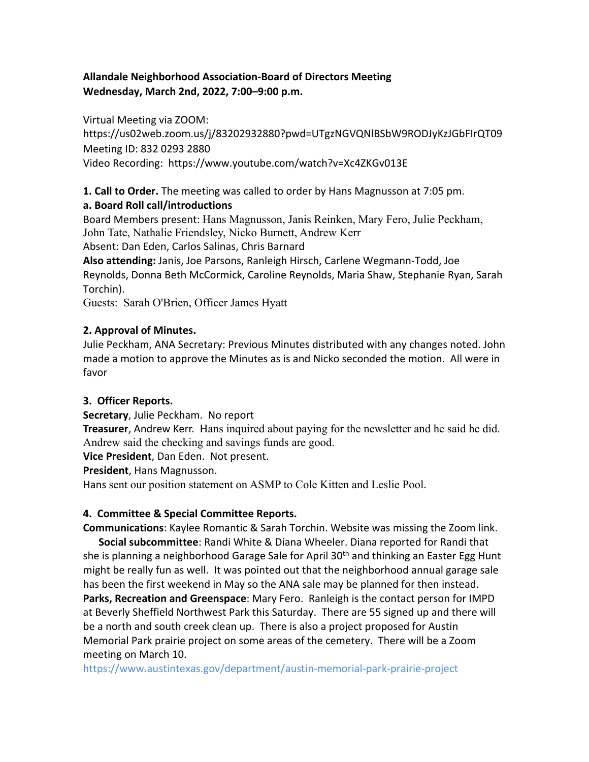# **Allandale Neighborhood Association-Board of Directors Meeting Wednesday, March 2nd, 2022, 7:00–9:00 p.m.**

Virtual Meeting via ZOOM:

https://us02web.zoom.us/j/83202932880?pwd=UTgzNGVQNlBSbW9RODJyKzJGbFIrQT09 Meeting ID: 832 0293 2880 Video Recording: https://www.youtube.com/watch?v=Xc4ZKGv013E

**1. Call to Order.** The meeting was called to order by Hans Magnusson at 7:05 pm.

## **a. Board Roll call/introductions**

Board Members present: Hans Magnusson, Janis Reinken, Mary Fero, Julie Peckham, John Tate, Nathalie Friendsley, Nicko Burnett, Andrew Kerr Absent: Dan Eden, Carlos Salinas, Chris Barnard

**Also attending:** Janis, Joe Parsons, Ranleigh Hirsch, Carlene Wegmann-Todd, Joe Reynolds, Donna Beth McCormick, Caroline Reynolds, Maria Shaw, Stephanie Ryan, Sarah Torchin).

Guests: Sarah O'Brien, Officer James Hyatt

# **2. Approval of Minutes.**

Julie Peckham, ANA Secretary: Previous Minutes distributed with any changes noted. John made a motion to approve the Minutes as is and Nicko seconded the motion. All were in favor

## **3. Officer Reports.**

**Secretary**, Julie Peckham. No report

**Treasurer**, Andrew Kerr. Hans inquired about paying for the newsletter and he said he did. Andrew said the checking and savings funds are good.

**Vice President**, Dan Eden. Not present.

**President**, Hans Magnusson.

Hans sent our position statement on ASMP to Cole Kitten and Leslie Pool.

# **4. Committee & Special Committee Reports.**

**Communications**: Kaylee Romantic & Sarah Torchin. Website was missing the Zoom link. **Social subcommittee**: Randi White & Diana Wheeler. Diana reported for Randi that she is planning a neighborhood Garage Sale for April 30<sup>th</sup> and thinking an Easter Egg Hunt might be really fun as well. It was pointed out that the neighborhood annual garage sale has been the first weekend in May so the ANA sale may be planned for then instead. **Parks, Recreation and Greenspace**: Mary Fero. Ranleigh is the contact person for IMPD at Beverly Sheffield Northwest Park this Saturday. There are 55 signed up and there will be a north and south creek clean up. There is also a project proposed for Austin Memorial Park prairie project on some areas of the cemetery. There will be a Zoom meeting on March 10.

https://www.austintexas.gov/department/austin-memorial-park-prairie-project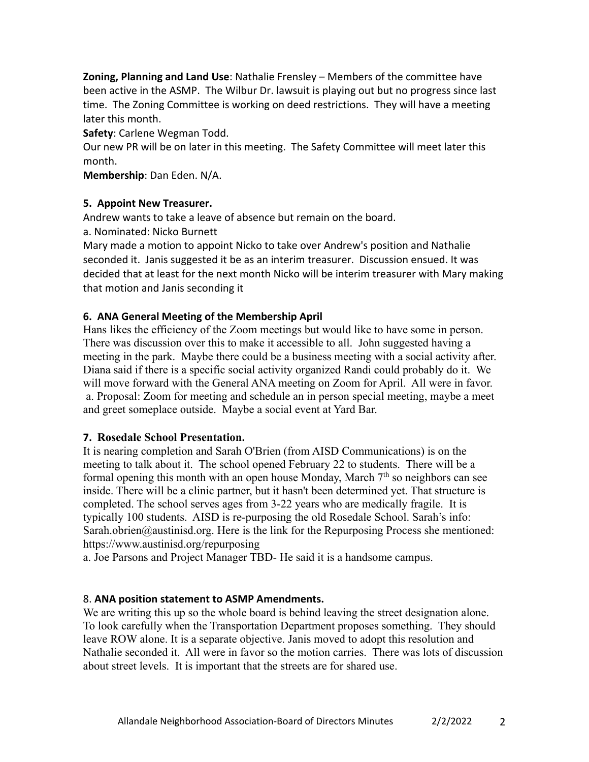**Zoning, Planning and Land Use**: Nathalie Frensley – Members of the committee have been active in the ASMP. The Wilbur Dr. lawsuit is playing out but no progress since last time. The Zoning Committee is working on deed restrictions. They will have a meeting later this month.

**Safety**: Carlene Wegman Todd.

Our new PR will be on later in this meeting. The Safety Committee will meet later this month.

**Membership**: Dan Eden. N/A.

### **5. Appoint New Treasurer.**

Andrew wants to take a leave of absence but remain on the board.

a. Nominated: Nicko Burnett

Mary made a motion to appoint Nicko to take over Andrew's position and Nathalie seconded it. Janis suggested it be as an interim treasurer. Discussion ensued. It was decided that at least for the next month Nicko will be interim treasurer with Mary making that motion and Janis seconding it

### **6. ANA General Meeting of the Membership April**

Hans likes the efficiency of the Zoom meetings but would like to have some in person. There was discussion over this to make it accessible to all. John suggested having a meeting in the park. Maybe there could be a business meeting with a social activity after. Diana said if there is a specific social activity organized Randi could probably do it. We will move forward with the General ANA meeting on Zoom for April. All were in favor. a. Proposal: Zoom for meeting and schedule an in person special meeting, maybe a meet and greet someplace outside. Maybe a social event at Yard Bar.

#### **7. Rosedale School Presentation.**

It is nearing completion and Sarah O'Brien (from AISD Communications) is on the meeting to talk about it. The school opened February 22 to students. There will be a formal opening this month with an open house Monday, March  $7<sup>th</sup>$  so neighbors can see inside. There will be a clinic partner, but it hasn't been determined yet. That structure is completed. The school serves ages from 3-22 years who are medically fragile. It is typically 100 students. AISD is re-purposing the old Rosedale School. Sarah's info: Sarah.obrien@austinisd.org. Here is the link for the Repurposing Process she mentioned: https://www.austinisd.org/repurposing

a. Joe Parsons and Project Manager TBD- He said it is a handsome campus.

## 8. **ANA position statement to ASMP Amendments.**

We are writing this up so the whole board is behind leaving the street designation alone. To look carefully when the Transportation Department proposes something. They should leave ROW alone. It is a separate objective. Janis moved to adopt this resolution and Nathalie seconded it. All were in favor so the motion carries. There was lots of discussion about street levels. It is important that the streets are for shared use.